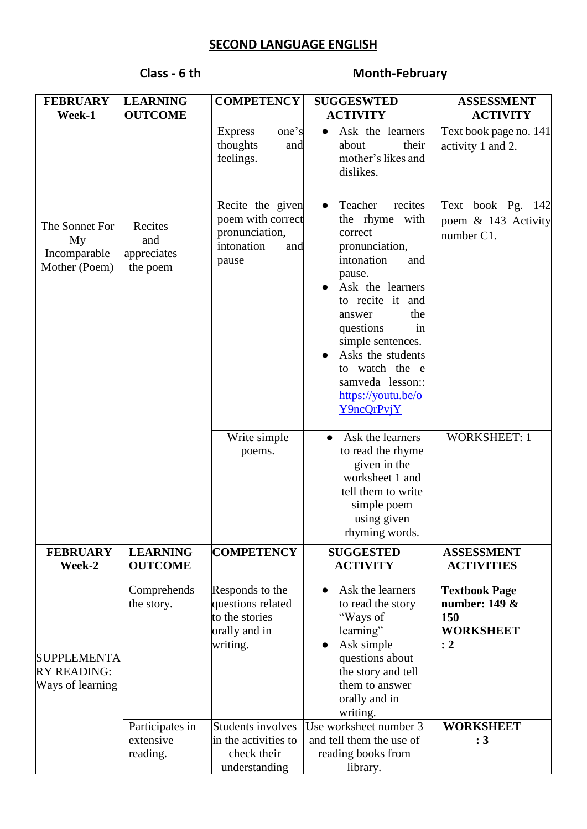# **SECOND LANGUAGE ENGLISH**

# **Class - 6 th Month-February**

| <b>FEBRUARY</b>                                              | <b>LEARNING</b>                           | <b>COMPETENCY</b>                                                                     | <b>SUGGESWTED</b>                                                                                                                                                                                                                                                                                | <b>ASSESSMENT</b>                                                         |
|--------------------------------------------------------------|-------------------------------------------|---------------------------------------------------------------------------------------|--------------------------------------------------------------------------------------------------------------------------------------------------------------------------------------------------------------------------------------------------------------------------------------------------|---------------------------------------------------------------------------|
| Week-1                                                       | <b>OUTCOME</b>                            |                                                                                       | <b>ACTIVITY</b>                                                                                                                                                                                                                                                                                  | <b>ACTIVITY</b>                                                           |
|                                                              |                                           | one's<br><b>Express</b><br>thoughts<br>and<br>feelings.                               | Ask the learners<br>$\bullet$<br>their<br>about<br>mother's likes and<br>dislikes.                                                                                                                                                                                                               | Text book page no. 141<br>activity 1 and 2.                               |
| The Sonnet For<br>My<br>Incomparable<br>Mother (Poem)        | Recites<br>and<br>appreciates<br>the poem | Recite the given<br>poem with correct<br>pronunciation,<br>intonation<br>and<br>pause | Teacher<br>recites<br>the rhyme with<br>correct<br>pronunciation,<br>intonation<br>and<br>pause.<br>Ask the learners<br>to recite it and<br>the<br>answer<br>questions<br>in<br>simple sentences.<br>Asks the students<br>to watch the e<br>samveda lesson::<br>https://youtu.be/o<br>Y9ncQrPvjY | Text book Pg. 142<br>poem $\&$ 143 Activity<br>number C1.                 |
|                                                              |                                           | Write simple<br>poems.                                                                | Ask the learners<br>$\bullet$<br>to read the rhyme<br>given in the<br>worksheet 1 and<br>tell them to write<br>simple poem<br>using given<br>rhyming words.                                                                                                                                      | <b>WORKSHEET: 1</b>                                                       |
| <b>FEBRUARY</b><br>Week-2                                    | <b>LEARNING</b><br><b>OUTCOME</b>         | <b>COMPETENCY</b>                                                                     | <b>SUGGESTED</b><br><b>ACTIVITY</b>                                                                                                                                                                                                                                                              | <b>ASSESSMENT</b><br><b>ACTIVITIES</b>                                    |
| <b>SUPPLEMENTA</b><br><b>RY READING:</b><br>Ways of learning | Comprehends<br>the story.                 | Responds to the<br>questions related<br>to the stories<br>orally and in<br>writing.   | Ask the learners<br>$\bullet$<br>to read the story<br>"Ways of<br>learning"<br>Ask simple<br>questions about<br>the story and tell<br>them to answer<br>orally and in<br>writing.                                                                                                                | <b>Textbook Page</b><br>number: $149 &$<br>150<br><b>WORKSHEET</b><br>: 2 |
|                                                              | Participates in<br>extensive<br>reading.  | <b>Students involves</b><br>in the activities to<br>check their<br>understanding      | Use worksheet number 3<br>and tell them the use of<br>reading books from<br>library.                                                                                                                                                                                                             | <b>WORKSHEET</b><br>: 3                                                   |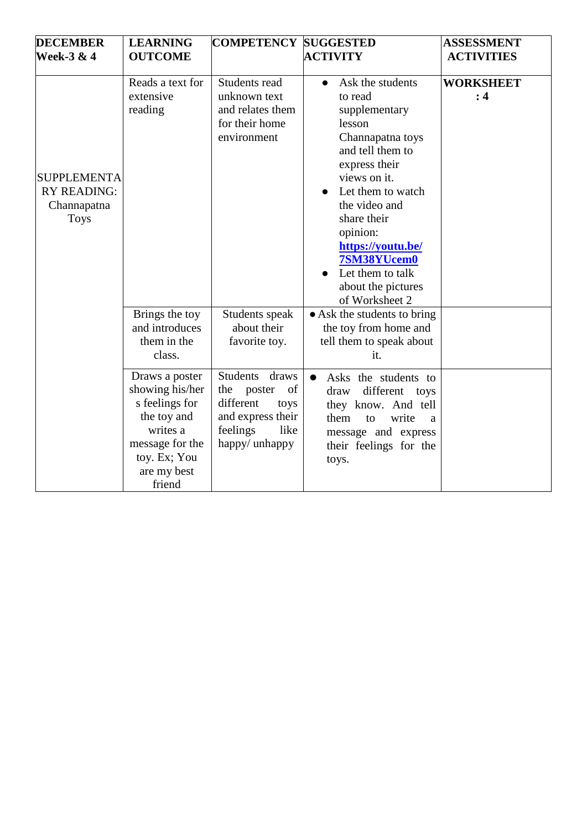| <b>DECEMBER</b>                                                        | <b>LEARNING</b>                                                                                                                            | <b>COMPETENCY SUGGESTED</b>                                                                                                          |                                                                                                                                                                                                                                                                                                                                                                                                          | <b>ASSESSMENT</b>       |
|------------------------------------------------------------------------|--------------------------------------------------------------------------------------------------------------------------------------------|--------------------------------------------------------------------------------------------------------------------------------------|----------------------------------------------------------------------------------------------------------------------------------------------------------------------------------------------------------------------------------------------------------------------------------------------------------------------------------------------------------------------------------------------------------|-------------------------|
| <b>Week-3 &amp; 4</b>                                                  | <b>OUTCOME</b>                                                                                                                             |                                                                                                                                      | <b>ACTIVITY</b>                                                                                                                                                                                                                                                                                                                                                                                          | <b>ACTIVITIES</b>       |
| <b>SUPPLEMENTA</b><br><b>RY READING:</b><br>Channapatna<br><b>Toys</b> | Reads a text for<br>extensive<br>reading<br>Brings the toy<br>and introduces<br>them in the<br>class.                                      | Students read<br>unknown text<br>and relates them<br>for their home<br>environment<br>Students speak<br>about their<br>favorite toy. | Ask the students<br>$\bullet$<br>to read<br>supplementary<br>lesson<br>Channapatna toys<br>and tell them to<br>express their<br>views on it.<br>Let them to watch<br>the video and<br>share their<br>opinion:<br>https://youtu.be/<br>7SM38YUcem0<br>Let them to talk<br>about the pictures<br>of Worksheet 2<br>• Ask the students to bring<br>the toy from home and<br>tell them to speak about<br>it. | <b>WORKSHEET</b><br>: 4 |
|                                                                        | Draws a poster<br>showing his/her<br>s feelings for<br>the toy and<br>writes a<br>message for the<br>toy. Ex; You<br>are my best<br>friend | <b>Students</b><br>draws<br>poster<br>of<br>the<br>different<br>toys<br>and express their<br>feelings<br>like<br>happy/ unhappy      | Asks the students to<br>$\bullet$<br>different<br>draw<br>toys<br>they know. And tell<br>write<br>them<br>to<br>a<br>message and express<br>their feelings for the<br>toys.                                                                                                                                                                                                                              |                         |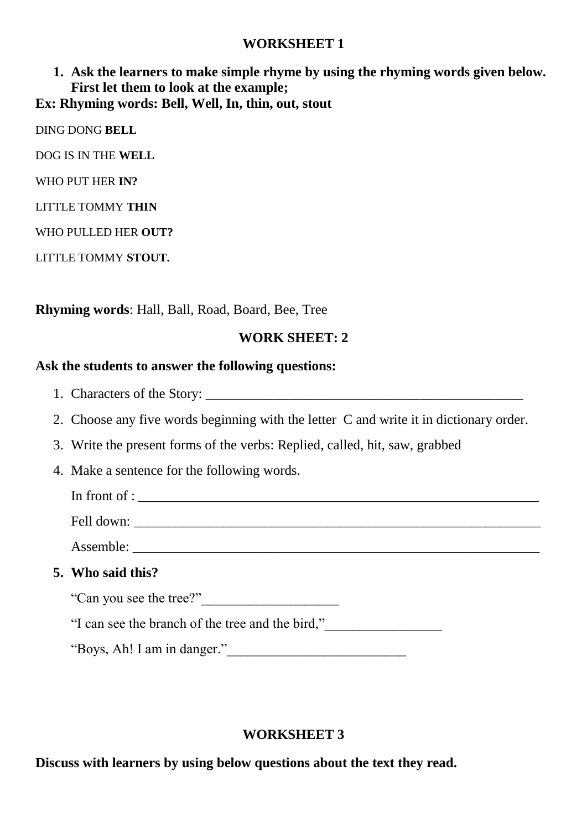### **WORKSHEET 1**

## **1. Ask the learners to make simple rhyme by using the rhyming words given below. First let them to look at the example; Ex: Rhyming words: Bell, Well, In, thin, out, stout**

DING DONG **BELL**

DOG IS IN THE **WELL**

WHO PUT HER **IN?**

LITTLE TOMMY **THIN**

WHO PULLED HER **OUT?**

LITTLE TOMMY **STOUT.**

#### **Rhyming words**: Hall, Ball, Road, Board, Bee, Tree

#### **WORK SHEET: 2**

#### **Ask the students to answer the following questions:**

- 1. Characters of the Story:
- 2. Choose any five words beginning with the letter C and write it in dictionary order.
- 3. Write the present forms of the verbs: Replied, called, hit, saw, grabbed
- 4. Make a sentence for the following words.

In front of :

Fell down: \_\_\_\_\_\_\_\_\_\_\_\_\_\_\_\_\_\_\_\_\_\_\_\_\_\_\_\_\_\_\_\_\_\_\_\_\_\_\_\_\_\_\_\_\_\_\_\_\_\_\_\_\_\_\_\_\_\_\_

Assemble: \_\_\_\_\_\_\_\_\_\_\_\_\_\_\_\_\_\_\_\_\_\_\_\_\_\_\_\_\_\_\_\_\_\_\_\_\_\_\_\_\_\_\_\_\_\_\_\_\_\_\_\_\_\_\_\_\_\_\_

#### **5. Who said this?**

"Can you see the tree?"\_\_\_\_\_\_\_\_\_\_\_\_\_\_\_\_\_\_\_\_

"I can see the branch of the tree and the bird,"\_\_\_\_\_\_\_\_\_\_\_\_\_\_\_\_\_

"Boys, Ah! I am in danger."\_\_\_\_\_\_\_\_\_\_\_\_\_\_\_\_\_\_\_\_\_\_\_\_\_\_

#### **WORKSHEET 3**

**Discuss with learners by using below questions about the text they read.**